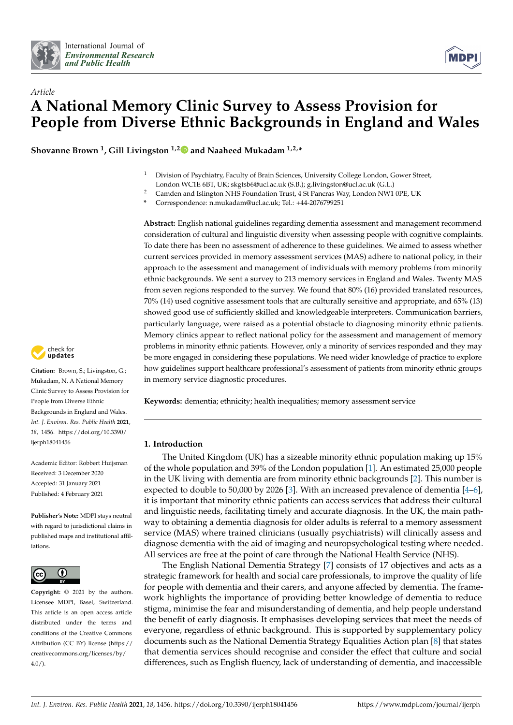



# *Article* **A National Memory Clinic Survey to Assess Provision for People from Diverse Ethnic Backgrounds in England and Wales**

**Shovanne Brown <sup>1</sup> , Gill Livingston 1,[2](https://orcid.org/0000-0001-6741-5516) and Naaheed Mukadam 1,2,\***

- <sup>1</sup> Division of Psychiatry, Faculty of Brain Sciences, University College London, Gower Street, London WC1E 6BT, UK; skgtsb6@ucl.ac.uk (S.B.); g.livingston@ucl.ac.uk (G.L.)
- <sup>2</sup> Camden and Islington NHS Foundation Trust, 4 St Pancras Way, London NW1 0PE, UK
- **\*** Correspondence: n.mukadam@ucl.ac.uk; Tel.: +44-2076799251

**Abstract:** English national guidelines regarding dementia assessment and management recommend consideration of cultural and linguistic diversity when assessing people with cognitive complaints. To date there has been no assessment of adherence to these guidelines. We aimed to assess whether current services provided in memory assessment services (MAS) adhere to national policy, in their approach to the assessment and management of individuals with memory problems from minority ethnic backgrounds. We sent a survey to 213 memory services in England and Wales. Twenty MAS from seven regions responded to the survey. We found that 80% (16) provided translated resources, 70% (14) used cognitive assessment tools that are culturally sensitive and appropriate, and 65% (13) showed good use of sufficiently skilled and knowledgeable interpreters. Communication barriers, particularly language, were raised as a potential obstacle to diagnosing minority ethnic patients. Memory clinics appear to reflect national policy for the assessment and management of memory problems in minority ethnic patients. However, only a minority of services responded and they may be more engaged in considering these populations. We need wider knowledge of practice to explore how guidelines support healthcare professional's assessment of patients from minority ethnic groups in memory service diagnostic procedures.

**Keywords:** dementia; ethnicity; health inequalities; memory assessment service

# **1. Introduction**

The United Kingdom (UK) has a sizeable minority ethnic population making up 15% of the whole population and 39% of the London population [\[1\]](#page-9-0). An estimated 25,000 people in the UK living with dementia are from minority ethnic backgrounds [\[2\]](#page-9-1). This number is expected to double to 50,000 by 2026 [\[3\]](#page-9-2). With an increased prevalence of dementia [\[4–](#page-9-3)[6\]](#page-10-0), it is important that minority ethnic patients can access services that address their cultural and linguistic needs, facilitating timely and accurate diagnosis. In the UK, the main pathway to obtaining a dementia diagnosis for older adults is referral to a memory assessment service (MAS) where trained clinicians (usually psychiatrists) will clinically assess and diagnose dementia with the aid of imaging and neuropsychological testing where needed. All services are free at the point of care through the National Health Service (NHS).

The English National Dementia Strategy [\[7\]](#page-10-1) consists of 17 objectives and acts as a strategic framework for health and social care professionals, to improve the quality of life for people with dementia and their carers, and anyone affected by dementia. The framework highlights the importance of providing better knowledge of dementia to reduce stigma, minimise the fear and misunderstanding of dementia, and help people understand the benefit of early diagnosis. It emphasises developing services that meet the needs of everyone, regardless of ethnic background. This is supported by supplementary policy documents such as the National Dementia Strategy Equalities Action plan [\[8\]](#page-10-2) that states that dementia services should recognise and consider the effect that culture and social differences, such as English fluency, lack of understanding of dementia, and inaccessible



**Citation:** Brown, S.; Livingston, G.; Mukadam, N. A National Memory Clinic Survey to Assess Provision for People from Diverse Ethnic Backgrounds in England and Wales. *Int. J. Environ. Res. Public Health* **2021**, *18*, 1456. [https://doi.org/10.3390/](https://doi.org/10.3390/ijerph18041456) [ijerph18041456](https://doi.org/10.3390/ijerph18041456)

Academic Editor: Robbert Huijsman Received: 3 December 2020 Accepted: 31 January 2021 Published: 4 February 2021

**Publisher's Note:** MDPI stays neutral with regard to jurisdictional claims in published maps and institutional affiliations.



**Copyright:** © 2021 by the authors. Licensee MDPI, Basel, Switzerland. This article is an open access article distributed under the terms and conditions of the Creative Commons Attribution (CC BY) license (https:/[/](https://creativecommons.org/licenses/by/4.0/) [creativecommons.org/licenses/by/](https://creativecommons.org/licenses/by/4.0/)  $4.0/$ ).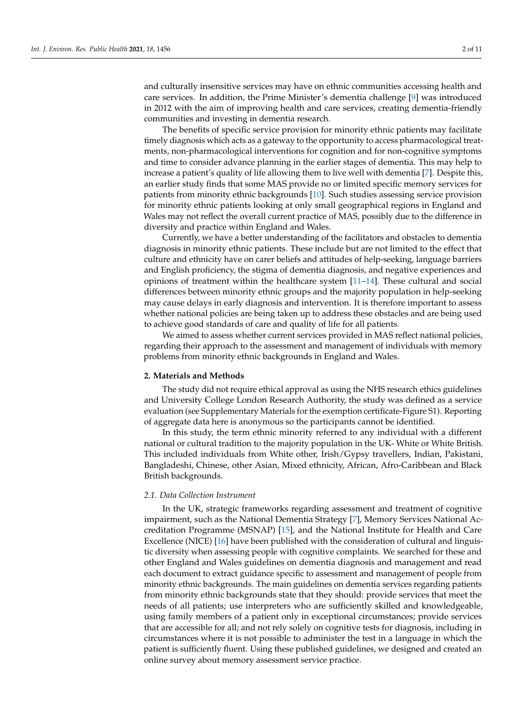and culturally insensitive services may have on ethnic communities accessing health and care services. In addition, the Prime Minister's dementia challenge [\[9\]](#page-10-3) was introduced in 2012 with the aim of improving health and care services, creating dementia-friendly communities and investing in dementia research.

The benefits of specific service provision for minority ethnic patients may facilitate timely diagnosis which acts as a gateway to the opportunity to access pharmacological treatments, non-pharmacological interventions for cognition and for non-cognitive symptoms and time to consider advance planning in the earlier stages of dementia. This may help to increase a patient's quality of life allowing them to live well with dementia [\[7\]](#page-10-1). Despite this, an earlier study finds that some MAS provide no or limited specific memory services for patients from minority ethnic backgrounds [\[10\]](#page-10-4). Such studies assessing service provision for minority ethnic patients looking at only small geographical regions in England and Wales may not reflect the overall current practice of MAS, possibly due to the difference in diversity and practice within England and Wales.

Currently, we have a better understanding of the facilitators and obstacles to dementia diagnosis in minority ethnic patients. These include but are not limited to the effect that culture and ethnicity have on carer beliefs and attitudes of help-seeking, language barriers and English proficiency, the stigma of dementia diagnosis, and negative experiences and opinions of treatment within the healthcare system [\[11–](#page-10-5)[14\]](#page-10-6). These cultural and social differences between minority ethnic groups and the majority population in help-seeking may cause delays in early diagnosis and intervention. It is therefore important to assess whether national policies are being taken up to address these obstacles and are being used to achieve good standards of care and quality of life for all patients.

We aimed to assess whether current services provided in MAS reflect national policies, regarding their approach to the assessment and management of individuals with memory problems from minority ethnic backgrounds in England and Wales.

### **2. Materials and Methods**

The study did not require ethical approval as using the NHS research ethics guidelines and University College London Research Authority, the study was defined as a service evaluation (see Supplementary Materials for the exemption certificate-Figure S1). Reporting of aggregate data here is anonymous so the participants cannot be identified.

In this study, the term ethnic minority referred to any individual with a different national or cultural tradition to the majority population in the UK- White or White British. This included individuals from White other, Irish/Gypsy travellers, Indian, Pakistani, Bangladeshi, Chinese, other Asian, Mixed ethnicity, African, Afro-Caribbean and Black British backgrounds.

# *2.1. Data Collection Instrument*

In the UK, strategic frameworks regarding assessment and treatment of cognitive impairment, such as the National Dementia Strategy [\[7\]](#page-10-1), Memory Services National Accreditation Programme (MSNAP) [\[15\]](#page-10-7), and the National Institute for Health and Care Excellence (NICE) [\[16\]](#page-10-8) have been published with the consideration of cultural and linguistic diversity when assessing people with cognitive complaints. We searched for these and other England and Wales guidelines on dementia diagnosis and management and read each document to extract guidance specific to assessment and management of people from minority ethnic backgrounds. The main guidelines on dementia services regarding patients from minority ethnic backgrounds state that they should: provide services that meet the needs of all patients; use interpreters who are sufficiently skilled and knowledgeable, using family members of a patient only in exceptional circumstances; provide services that are accessible for all; and not rely solely on cognitive tests for diagnosis, including in circumstances where it is not possible to administer the test in a language in which the patient is sufficiently fluent. Using these published guidelines, we designed and created an online survey about memory assessment service practice.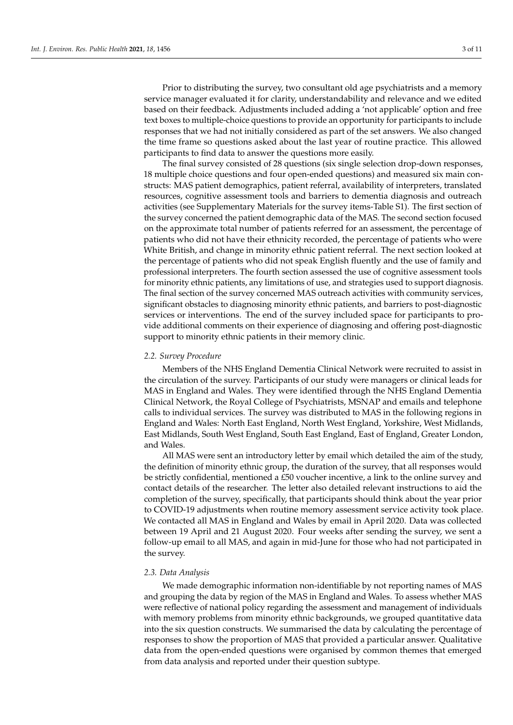Prior to distributing the survey, two consultant old age psychiatrists and a memory service manager evaluated it for clarity, understandability and relevance and we edited based on their feedback. Adjustments included adding a 'not applicable' option and free text boxes to multiple-choice questions to provide an opportunity for participants to include responses that we had not initially considered as part of the set answers. We also changed the time frame so questions asked about the last year of routine practice. This allowed participants to find data to answer the questions more easily.

The final survey consisted of 28 questions (six single selection drop-down responses, 18 multiple choice questions and four open-ended questions) and measured six main constructs: MAS patient demographics, patient referral, availability of interpreters, translated resources, cognitive assessment tools and barriers to dementia diagnosis and outreach activities (see Supplementary Materials for the survey items-Table S1). The first section of the survey concerned the patient demographic data of the MAS. The second section focused on the approximate total number of patients referred for an assessment, the percentage of patients who did not have their ethnicity recorded, the percentage of patients who were White British, and change in minority ethnic patient referral. The next section looked at the percentage of patients who did not speak English fluently and the use of family and professional interpreters. The fourth section assessed the use of cognitive assessment tools for minority ethnic patients, any limitations of use, and strategies used to support diagnosis. The final section of the survey concerned MAS outreach activities with community services, significant obstacles to diagnosing minority ethnic patients, and barriers to post-diagnostic services or interventions. The end of the survey included space for participants to provide additional comments on their experience of diagnosing and offering post-diagnostic support to minority ethnic patients in their memory clinic.

# *2.2. Survey Procedure*

Members of the NHS England Dementia Clinical Network were recruited to assist in the circulation of the survey. Participants of our study were managers or clinical leads for MAS in England and Wales. They were identified through the NHS England Dementia Clinical Network, the Royal College of Psychiatrists, MSNAP and emails and telephone calls to individual services. The survey was distributed to MAS in the following regions in England and Wales: North East England, North West England, Yorkshire, West Midlands, East Midlands, South West England, South East England, East of England, Greater London, and Wales.

All MAS were sent an introductory letter by email which detailed the aim of the study, the definition of minority ethnic group, the duration of the survey, that all responses would be strictly confidential, mentioned a £50 voucher incentive, a link to the online survey and contact details of the researcher. The letter also detailed relevant instructions to aid the completion of the survey, specifically, that participants should think about the year prior to COVID-19 adjustments when routine memory assessment service activity took place. We contacted all MAS in England and Wales by email in April 2020. Data was collected between 19 April and 21 August 2020. Four weeks after sending the survey, we sent a follow-up email to all MAS, and again in mid-June for those who had not participated in the survey.

#### *2.3. Data Analysis*

We made demographic information non-identifiable by not reporting names of MAS and grouping the data by region of the MAS in England and Wales. To assess whether MAS were reflective of national policy regarding the assessment and management of individuals with memory problems from minority ethnic backgrounds, we grouped quantitative data into the six question constructs. We summarised the data by calculating the percentage of responses to show the proportion of MAS that provided a particular answer. Qualitative data from the open-ended questions were organised by common themes that emerged from data analysis and reported under their question subtype.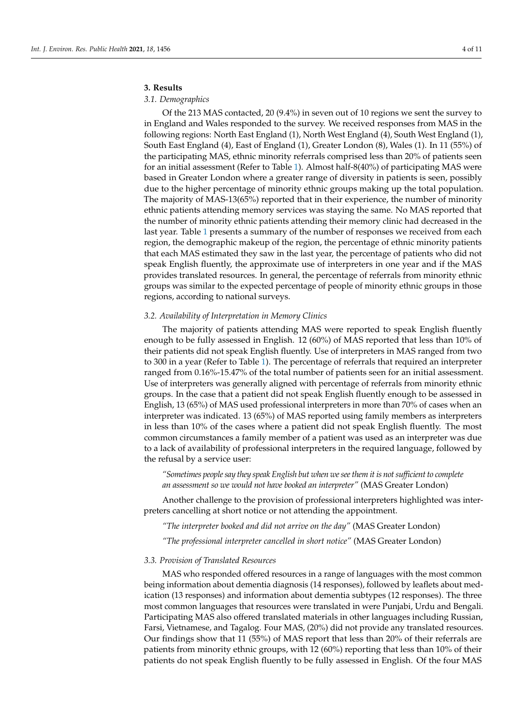### **3. Results**

# *3.1. Demographics*

Of the 213 MAS contacted, 20 (9.4%) in seven out of 10 regions we sent the survey to in England and Wales responded to the survey. We received responses from MAS in the following regions: North East England (1), North West England (4), South West England (1), South East England (4), East of England (1), Greater London (8), Wales (1). In 11 (55%) of the participating MAS, ethnic minority referrals comprised less than 20% of patients seen for an initial assessment (Refer to Table [1\)](#page-4-0). Almost half-8(40%) of participating MAS were based in Greater London where a greater range of diversity in patients is seen, possibly due to the higher percentage of minority ethnic groups making up the total population. The majority of MAS-13(65%) reported that in their experience, the number of minority ethnic patients attending memory services was staying the same. No MAS reported that the number of minority ethnic patients attending their memory clinic had decreased in the last year. Table [1](#page-4-0) presents a summary of the number of responses we received from each region, the demographic makeup of the region, the percentage of ethnic minority patients that each MAS estimated they saw in the last year, the percentage of patients who did not speak English fluently, the approximate use of interpreters in one year and if the MAS provides translated resources. In general, the percentage of referrals from minority ethnic groups was similar to the expected percentage of people of minority ethnic groups in those regions, according to national surveys.

# *3.2. Availability of Interpretation in Memory Clinics*

The majority of patients attending MAS were reported to speak English fluently enough to be fully assessed in English. 12 (60%) of MAS reported that less than 10% of their patients did not speak English fluently. Use of interpreters in MAS ranged from two to 300 in a year (Refer to Table [1\)](#page-4-0). The percentage of referrals that required an interpreter ranged from 0.16%-15.47% of the total number of patients seen for an initial assessment. Use of interpreters was generally aligned with percentage of referrals from minority ethnic groups. In the case that a patient did not speak English fluently enough to be assessed in English, 13 (65%) of MAS used professional interpreters in more than 70% of cases when an interpreter was indicated. 13 (65%) of MAS reported using family members as interpreters in less than 10% of the cases where a patient did not speak English fluently. The most common circumstances a family member of a patient was used as an interpreter was due to a lack of availability of professional interpreters in the required language, followed by the refusal by a service user:

*"Sometimes people say they speak English but when we see them it is not sufficient to complete an assessment so we would not have booked an interpreter"* (MAS Greater London)

Another challenge to the provision of professional interpreters highlighted was interpreters cancelling at short notice or not attending the appointment.

*"The interpreter booked and did not arrive on the day"* (MAS Greater London)

*"The professional interpreter cancelled in short notice"* (MAS Greater London)

# *3.3. Provision of Translated Resources*

MAS who responded offered resources in a range of languages with the most common being information about dementia diagnosis (14 responses), followed by leaflets about medication (13 responses) and information about dementia subtypes (12 responses). The three most common languages that resources were translated in were Punjabi, Urdu and Bengali. Participating MAS also offered translated materials in other languages including Russian, Farsi, Vietnamese, and Tagalog. Four MAS, (20%) did not provide any translated resources. Our findings show that 11 (55%) of MAS report that less than 20% of their referrals are patients from minority ethnic groups, with 12 (60%) reporting that less than 10% of their patients do not speak English fluently to be fully assessed in English. Of the four MAS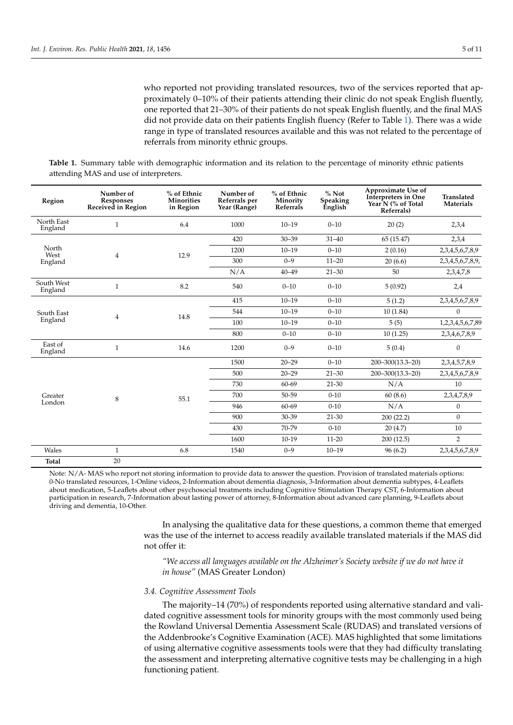who reported not providing translated resources, two of the services reported that approximately 0–10% of their patients attending their clinic do not speak English fluently, one reported that 21–30% of their patients do not speak English fluently, and the final MAS did not provide data on their patients English fluency (Refer to Table [1\)](#page-4-0). There was a wide range in type of translated resources available and this was not related to the percentage of referrals from minority ethnic groups.

<span id="page-4-0"></span>**Table 1.** Summary table with demographic information and its relation to the percentage of minority ethnic patients attending MAS and use of interpreters.

| Region                   | Number of<br><b>Responses</b><br>Received in Region | % of Ethnic<br><b>Minorities</b><br>in Region | Number of<br>Referrals per<br>Year (Range) | % of Ethnic<br>Minority<br>Referrals | $%$ Not<br>Speaking<br><b>English</b> | Approximate Use of<br>Interpreters in One<br>Year <sup>N</sup> (% of Total<br>Referrals) | <b>Translated</b><br><b>Materials</b> |
|--------------------------|-----------------------------------------------------|-----------------------------------------------|--------------------------------------------|--------------------------------------|---------------------------------------|------------------------------------------------------------------------------------------|---------------------------------------|
| North East<br>England    | $\mathbf{1}$                                        | 6.4                                           | 1000                                       | $10 - 19$                            | $0 - 10$                              | 20(2)                                                                                    | 2,3,4                                 |
| North<br>West<br>England | $\overline{4}$                                      | 12.9                                          | 420                                        | $30 - 39$                            | $31 - 40$                             | 65 (15.47)                                                                               | 2,3,4                                 |
|                          |                                                     |                                               | 1200                                       | $10 - 19$                            | $0 - 10$                              | 2(0.16)                                                                                  | 2,3,4,5,6,7,8,9                       |
|                          |                                                     |                                               | 300                                        | $0 - 9$                              | $11 - 20$                             | 20(6.6)                                                                                  | 2,3,4,5,6,7,8,9,                      |
|                          |                                                     |                                               | N/A                                        | $40 - 49$                            | $21 - 30$                             | 50                                                                                       | 2,3,4,7,8                             |
| South West<br>England    | $\mathbf{1}$                                        | 8.2                                           | 540                                        | $0 - 10$                             | $0 - 10$                              | 5(0.92)                                                                                  | 2,4                                   |
| South East<br>England    | $\overline{4}$                                      | 14.8                                          | 415                                        | $10 - 19$                            | $0 - 10$                              | 5(1.2)                                                                                   | 2,3,4,5,6,7,8,9                       |
|                          |                                                     |                                               | 544                                        | $10 - 19$                            | $0 - 10$                              | 10(1.84)                                                                                 | $\mathbf{0}$                          |
|                          |                                                     |                                               | 100                                        | $10 - 19$                            | $0 - 10$                              | 5(5)                                                                                     | 1,2,3,4,5,6,7,89                      |
|                          |                                                     |                                               | 800                                        | $0 - 10$                             | $0 - 10$                              | 10(1.25)                                                                                 | 2,3,4,6,7,8,9                         |
| East of<br>England       | $\mathbf{1}$                                        | 14.6                                          | 1200                                       | $0 - 9$                              | $0 - 10$                              | 5(0.4)                                                                                   | $\boldsymbol{0}$                      |
| Greater<br>London        | 8                                                   | 55.1                                          | 1500                                       | $20 - 29$                            | $0 - 10$                              | 200-300(13.3-20)                                                                         | 2,3,4,5,7,8,9                         |
|                          |                                                     |                                               | 500                                        | $20 - 29$                            | $21 - 30$                             | 200-300(13.3-20)                                                                         | 2,3,4,5,6,7,8,9                       |
|                          |                                                     |                                               | 730                                        | 60-69                                | $21 - 30$                             | N/A                                                                                      | 10                                    |
|                          |                                                     |                                               | 700                                        | 50-59                                | $0 - 10$                              | 60(8.6)                                                                                  | 2,3,4,7,8,9                           |
|                          |                                                     |                                               | 946                                        | 60-69                                | $0 - 10$                              | N/A                                                                                      | $\mathbf{0}$                          |
|                          |                                                     |                                               | 900                                        | 30-39                                | 21-30                                 | 200(22.2)                                                                                | $\overline{0}$                        |
|                          |                                                     |                                               | 430                                        | 70-79                                | $0 - 10$                              | 20(4.7)                                                                                  | 10                                    |
|                          |                                                     |                                               | 1600                                       | $10-19$                              | $11 - 20$                             | 200(12.5)                                                                                | $\overline{2}$                        |
| Wales                    | $\mathbf{1}$                                        | 6.8                                           | 1540                                       | $0 - 9$                              | $10 - 19$                             | 96(6.2)                                                                                  | 2,3,4,5,6,7,8,9                       |
| <b>Total</b>             | 20                                                  |                                               |                                            |                                      |                                       |                                                                                          |                                       |

Note: N/A- MAS who report not storing information to provide data to answer the question. Provision of translated materials options: 0-No translated resources, 1-Online videos, 2-Information about dementia diagnosis, 3-Information about dementia subtypes, 4-Leaflets about medication, 5-Leaflets about other psychosocial treatments including Cognitive Stimulation Therapy CST, 6-Information about participation in research, 7-Information about lasting power of attorney, 8-Information about advanced care planning, 9-Leaflets about driving and dementia, 10-Other.

> In analysing the qualitative data for these questions, a common theme that emerged was the use of the internet to access readily available translated materials if the MAS did not offer it:

*"We access all languages available on the Alzheimer's Society website if we do not have it in house"* (MAS Greater London)

#### *3.4. Cognitive Assessment Tools*

The majority–14 (70%) of respondents reported using alternative standard and validated cognitive assessment tools for minority groups with the most commonly used being the Rowland Universal Dementia Assessment Scale (RUDAS) and translated versions of the Addenbrooke's Cognitive Examination (ACE). MAS highlighted that some limitations of using alternative cognitive assessments tools were that they had difficulty translating the assessment and interpreting alternative cognitive tests may be challenging in a high functioning patient.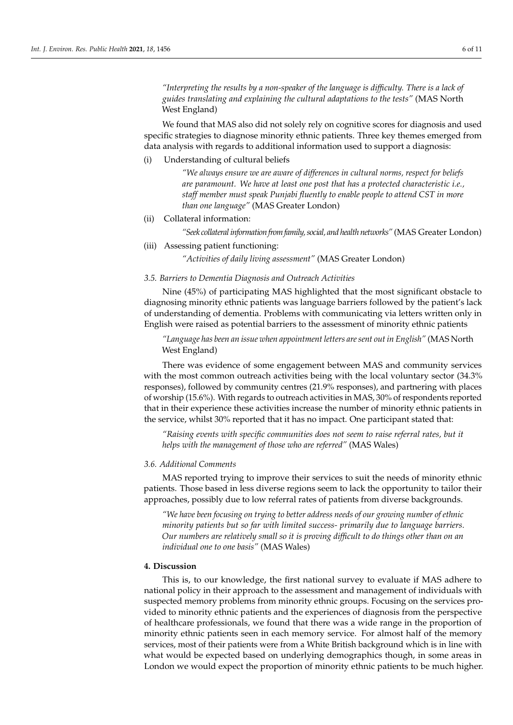*"Interpreting the results by a non-speaker of the language is difficulty. There is a lack of guides translating and explaining the cultural adaptations to the tests"* (MAS North West England)

We found that MAS also did not solely rely on cognitive scores for diagnosis and used specific strategies to diagnose minority ethnic patients. Three key themes emerged from data analysis with regards to additional information used to support a diagnosis:

(i) Understanding of cultural beliefs

*"We always ensure we are aware of differences in cultural norms, respect for beliefs are paramount. We have at least one post that has a protected characteristic i.e., staff member must speak Punjabi fluently to enable people to attend CST in more than one language"* (MAS Greater London)

(ii) Collateral information:

*"Seek collateral information from family, social, and health networks"* (MAS Greater London)

(iii) Assessing patient functioning:

*"Activities of daily living assessment"* (MAS Greater London)

# *3.5. Barriers to Dementia Diagnosis and Outreach Activities*

Nine (45%) of participating MAS highlighted that the most significant obstacle to diagnosing minority ethnic patients was language barriers followed by the patient's lack of understanding of dementia. Problems with communicating via letters written only in English were raised as potential barriers to the assessment of minority ethnic patients

*"Language has been an issue when appointment letters are sent out in English"* (MAS North West England)

There was evidence of some engagement between MAS and community services with the most common outreach activities being with the local voluntary sector (34.3% responses), followed by community centres (21.9% responses), and partnering with places of worship (15.6%). With regards to outreach activities in MAS, 30% of respondents reported that in their experience these activities increase the number of minority ethnic patients in the service, whilst 30% reported that it has no impact. One participant stated that:

*"Raising events with specific communities does not seem to raise referral rates, but it helps with the management of those who are referred"* (MAS Wales)

# *3.6. Additional Comments*

MAS reported trying to improve their services to suit the needs of minority ethnic patients. Those based in less diverse regions seem to lack the opportunity to tailor their approaches, possibly due to low referral rates of patients from diverse backgrounds.

*"We have been focusing on trying to better address needs of our growing number of ethnic minority patients but so far with limited success- primarily due to language barriers. Our numbers are relatively small so it is proving difficult to do things other than on an individual one to one basis"* (MAS Wales)

# **4. Discussion**

This is, to our knowledge, the first national survey to evaluate if MAS adhere to national policy in their approach to the assessment and management of individuals with suspected memory problems from minority ethnic groups. Focusing on the services provided to minority ethnic patients and the experiences of diagnosis from the perspective of healthcare professionals, we found that there was a wide range in the proportion of minority ethnic patients seen in each memory service. For almost half of the memory services, most of their patients were from a White British background which is in line with what would be expected based on underlying demographics though, in some areas in London we would expect the proportion of minority ethnic patients to be much higher.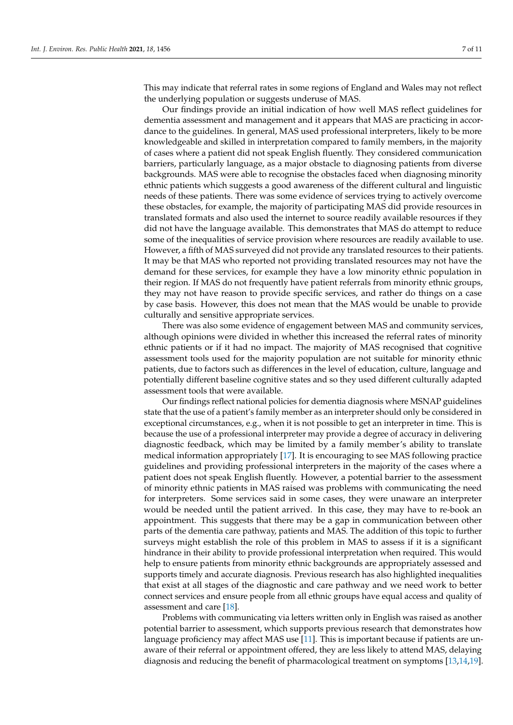This may indicate that referral rates in some regions of England and Wales may not reflect the underlying population or suggests underuse of MAS.

Our findings provide an initial indication of how well MAS reflect guidelines for dementia assessment and management and it appears that MAS are practicing in accordance to the guidelines. In general, MAS used professional interpreters, likely to be more knowledgeable and skilled in interpretation compared to family members, in the majority of cases where a patient did not speak English fluently. They considered communication barriers, particularly language, as a major obstacle to diagnosing patients from diverse backgrounds. MAS were able to recognise the obstacles faced when diagnosing minority ethnic patients which suggests a good awareness of the different cultural and linguistic needs of these patients. There was some evidence of services trying to actively overcome these obstacles, for example, the majority of participating MAS did provide resources in translated formats and also used the internet to source readily available resources if they did not have the language available. This demonstrates that MAS do attempt to reduce some of the inequalities of service provision where resources are readily available to use. However, a fifth of MAS surveyed did not provide any translated resources to their patients. It may be that MAS who reported not providing translated resources may not have the demand for these services, for example they have a low minority ethnic population in their region. If MAS do not frequently have patient referrals from minority ethnic groups, they may not have reason to provide specific services, and rather do things on a case by case basis. However, this does not mean that the MAS would be unable to provide culturally and sensitive appropriate services.

There was also some evidence of engagement between MAS and community services, although opinions were divided in whether this increased the referral rates of minority ethnic patients or if it had no impact. The majority of MAS recognised that cognitive assessment tools used for the majority population are not suitable for minority ethnic patients, due to factors such as differences in the level of education, culture, language and potentially different baseline cognitive states and so they used different culturally adapted assessment tools that were available.

Our findings reflect national policies for dementia diagnosis where MSNAP guidelines state that the use of a patient's family member as an interpreter should only be considered in exceptional circumstances, e.g., when it is not possible to get an interpreter in time. This is because the use of a professional interpreter may provide a degree of accuracy in delivering diagnostic feedback, which may be limited by a family member's ability to translate medical information appropriately [\[17\]](#page-10-9). It is encouraging to see MAS following practice guidelines and providing professional interpreters in the majority of the cases where a patient does not speak English fluently. However, a potential barrier to the assessment of minority ethnic patients in MAS raised was problems with communicating the need for interpreters. Some services said in some cases, they were unaware an interpreter would be needed until the patient arrived. In this case, they may have to re-book an appointment. This suggests that there may be a gap in communication between other parts of the dementia care pathway, patients and MAS. The addition of this topic to further surveys might establish the role of this problem in MAS to assess if it is a significant hindrance in their ability to provide professional interpretation when required. This would help to ensure patients from minority ethnic backgrounds are appropriately assessed and supports timely and accurate diagnosis. Previous research has also highlighted inequalities that exist at all stages of the diagnostic and care pathway and we need work to better connect services and ensure people from all ethnic groups have equal access and quality of assessment and care [\[18\]](#page-10-10).

Problems with communicating via letters written only in English was raised as another potential barrier to assessment, which supports previous research that demonstrates how language proficiency may affect MAS use [\[11\]](#page-10-5). This is important because if patients are unaware of their referral or appointment offered, they are less likely to attend MAS, delaying diagnosis and reducing the benefit of pharmacological treatment on symptoms [\[13](#page-10-11)[,14](#page-10-6)[,19\]](#page-10-12).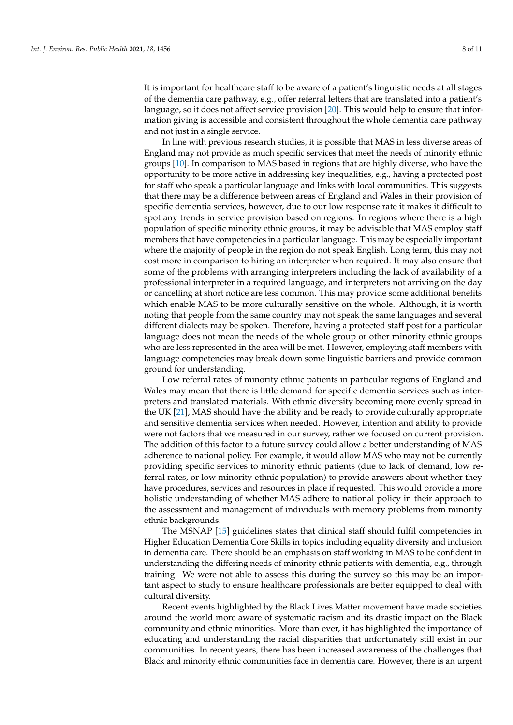It is important for healthcare staff to be aware of a patient's linguistic needs at all stages of the dementia care pathway, e.g., offer referral letters that are translated into a patient's language, so it does not affect service provision [\[20\]](#page-10-13). This would help to ensure that information giving is accessible and consistent throughout the whole dementia care pathway and not just in a single service.

In line with previous research studies, it is possible that MAS in less diverse areas of England may not provide as much specific services that meet the needs of minority ethnic groups [\[10\]](#page-10-4). In comparison to MAS based in regions that are highly diverse, who have the opportunity to be more active in addressing key inequalities, e.g., having a protected post for staff who speak a particular language and links with local communities. This suggests that there may be a difference between areas of England and Wales in their provision of specific dementia services, however, due to our low response rate it makes it difficult to spot any trends in service provision based on regions. In regions where there is a high population of specific minority ethnic groups, it may be advisable that MAS employ staff members that have competencies in a particular language. This may be especially important where the majority of people in the region do not speak English. Long term, this may not cost more in comparison to hiring an interpreter when required. It may also ensure that some of the problems with arranging interpreters including the lack of availability of a professional interpreter in a required language, and interpreters not arriving on the day or cancelling at short notice are less common. This may provide some additional benefits which enable MAS to be more culturally sensitive on the whole. Although, it is worth noting that people from the same country may not speak the same languages and several different dialects may be spoken. Therefore, having a protected staff post for a particular language does not mean the needs of the whole group or other minority ethnic groups who are less represented in the area will be met. However, employing staff members with language competencies may break down some linguistic barriers and provide common ground for understanding.

Low referral rates of minority ethnic patients in particular regions of England and Wales may mean that there is little demand for specific dementia services such as interpreters and translated materials. With ethnic diversity becoming more evenly spread in the UK [\[21\]](#page-10-14), MAS should have the ability and be ready to provide culturally appropriate and sensitive dementia services when needed. However, intention and ability to provide were not factors that we measured in our survey, rather we focused on current provision. The addition of this factor to a future survey could allow a better understanding of MAS adherence to national policy. For example, it would allow MAS who may not be currently providing specific services to minority ethnic patients (due to lack of demand, low referral rates, or low minority ethnic population) to provide answers about whether they have procedures, services and resources in place if requested. This would provide a more holistic understanding of whether MAS adhere to national policy in their approach to the assessment and management of individuals with memory problems from minority ethnic backgrounds.

The MSNAP [\[15\]](#page-10-7) guidelines states that clinical staff should fulfil competencies in Higher Education Dementia Core Skills in topics including equality diversity and inclusion in dementia care. There should be an emphasis on staff working in MAS to be confident in understanding the differing needs of minority ethnic patients with dementia, e.g., through training. We were not able to assess this during the survey so this may be an important aspect to study to ensure healthcare professionals are better equipped to deal with cultural diversity.

Recent events highlighted by the Black Lives Matter movement have made societies around the world more aware of systematic racism and its drastic impact on the Black community and ethnic minorities. More than ever, it has highlighted the importance of educating and understanding the racial disparities that unfortunately still exist in our communities. In recent years, there has been increased awareness of the challenges that Black and minority ethnic communities face in dementia care. However, there is an urgent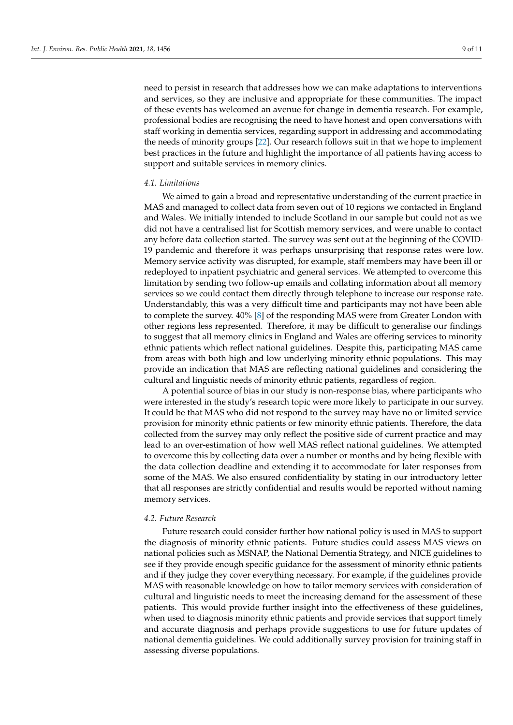need to persist in research that addresses how we can make adaptations to interventions and services, so they are inclusive and appropriate for these communities. The impact of these events has welcomed an avenue for change in dementia research. For example, professional bodies are recognising the need to have honest and open conversations with staff working in dementia services, regarding support in addressing and accommodating the needs of minority groups [\[22\]](#page-10-15). Our research follows suit in that we hope to implement best practices in the future and highlight the importance of all patients having access to support and suitable services in memory clinics.

## *4.1. Limitations*

We aimed to gain a broad and representative understanding of the current practice in MAS and managed to collect data from seven out of 10 regions we contacted in England and Wales. We initially intended to include Scotland in our sample but could not as we did not have a centralised list for Scottish memory services, and were unable to contact any before data collection started. The survey was sent out at the beginning of the COVID-19 pandemic and therefore it was perhaps unsurprising that response rates were low. Memory service activity was disrupted, for example, staff members may have been ill or redeployed to inpatient psychiatric and general services. We attempted to overcome this limitation by sending two follow-up emails and collating information about all memory services so we could contact them directly through telephone to increase our response rate. Understandably, this was a very difficult time and participants may not have been able to complete the survey. 40% [\[8\]](#page-10-2) of the responding MAS were from Greater London with other regions less represented. Therefore, it may be difficult to generalise our findings to suggest that all memory clinics in England and Wales are offering services to minority ethnic patients which reflect national guidelines. Despite this, participating MAS came from areas with both high and low underlying minority ethnic populations. This may provide an indication that MAS are reflecting national guidelines and considering the cultural and linguistic needs of minority ethnic patients, regardless of region.

A potential source of bias in our study is non-response bias, where participants who were interested in the study's research topic were more likely to participate in our survey. It could be that MAS who did not respond to the survey may have no or limited service provision for minority ethnic patients or few minority ethnic patients. Therefore, the data collected from the survey may only reflect the positive side of current practice and may lead to an over-estimation of how well MAS reflect national guidelines. We attempted to overcome this by collecting data over a number or months and by being flexible with the data collection deadline and extending it to accommodate for later responses from some of the MAS. We also ensured confidentiality by stating in our introductory letter that all responses are strictly confidential and results would be reported without naming memory services.

#### *4.2. Future Research*

Future research could consider further how national policy is used in MAS to support the diagnosis of minority ethnic patients. Future studies could assess MAS views on national policies such as MSNAP, the National Dementia Strategy, and NICE guidelines to see if they provide enough specific guidance for the assessment of minority ethnic patients and if they judge they cover everything necessary. For example, if the guidelines provide MAS with reasonable knowledge on how to tailor memory services with consideration of cultural and linguistic needs to meet the increasing demand for the assessment of these patients. This would provide further insight into the effectiveness of these guidelines, when used to diagnosis minority ethnic patients and provide services that support timely and accurate diagnosis and perhaps provide suggestions to use for future updates of national dementia guidelines. We could additionally survey provision for training staff in assessing diverse populations.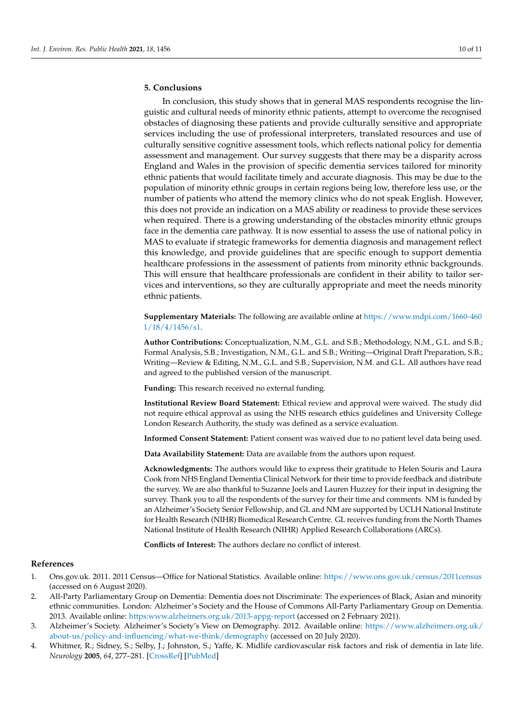# **5. Conclusions**

In conclusion, this study shows that in general MAS respondents recognise the linguistic and cultural needs of minority ethnic patients, attempt to overcome the recognised obstacles of diagnosing these patients and provide culturally sensitive and appropriate services including the use of professional interpreters, translated resources and use of culturally sensitive cognitive assessment tools, which reflects national policy for dementia assessment and management. Our survey suggests that there may be a disparity across England and Wales in the provision of specific dementia services tailored for minority ethnic patients that would facilitate timely and accurate diagnosis. This may be due to the population of minority ethnic groups in certain regions being low, therefore less use, or the number of patients who attend the memory clinics who do not speak English. However, this does not provide an indication on a MAS ability or readiness to provide these services when required. There is a growing understanding of the obstacles minority ethnic groups face in the dementia care pathway. It is now essential to assess the use of national policy in MAS to evaluate if strategic frameworks for dementia diagnosis and management reflect this knowledge, and provide guidelines that are specific enough to support dementia healthcare professions in the assessment of patients from minority ethnic backgrounds. This will ensure that healthcare professionals are confident in their ability to tailor services and interventions, so they are culturally appropriate and meet the needs minority ethnic patients.

**Supplementary Materials:** The following are available online at [https://www.mdpi.com/1660-460](https://www.mdpi.com/1660-4601/18/4/1456/s1) [1/18/4/1456/s1.](https://www.mdpi.com/1660-4601/18/4/1456/s1)

**Author Contributions:** Conceptualization, N.M., G.L. and S.B.; Methodology, N.M., G.L. and S.B.; Formal Analysis, S.B.; Investigation, N.M., G.L. and S.B.; Writing—Original Draft Preparation, S.B.; Writing—Review & Editing, N.M., G.L. and S.B.; Supervision, N.M. and G.L. All authors have read and agreed to the published version of the manuscript.

**Funding:** This research received no external funding.

**Institutional Review Board Statement:** Ethical review and approval were waived. The study did not require ethical approval as using the NHS research ethics guidelines and University College London Research Authority, the study was defined as a service evaluation.

**Informed Consent Statement:** Patient consent was waived due to no patient level data being used.

**Data Availability Statement:** Data are available from the authors upon request.

**Acknowledgments:** The authors would like to express their gratitude to Helen Souris and Laura Cook from NHS England Dementia Clinical Network for their time to provide feedback and distribute the survey. We are also thankful to Suzanne Joels and Lauren Huzzey for their input in designing the survey. Thank you to all the respondents of the survey for their time and comments. NM is funded by an Alzheimer's Society Senior Fellowship, and GL and NM are supported by UCLH National Institute for Health Research (NIHR) Biomedical Research Centre. GL receives funding from the North Thames National Institute of Health Research (NIHR) Applied Research Collaborations (ARCs).

**Conflicts of Interest:** The authors declare no conflict of interest.

#### **References**

- <span id="page-9-0"></span>1. Ons.gov.uk. 2011. 2011 Census—Office for National Statistics. Available online: <https://www.ons.gov.uk/census/2011census> (accessed on 6 August 2020).
- <span id="page-9-1"></span>2. All-Party Parliamentary Group on Dementia: Dementia does not Discriminate: The experiences of Black, Asian and minority ethnic communities. London: Alzheimer's Society and the House of Commons All-Party Parliamentary Group on Dementia. 2013. Available online: <https:www.alzheimers.org.uk/2013-appg-report> (accessed on 2 February 2021).
- <span id="page-9-2"></span>3. Alzheimer's Society. Alzheimer's Society's View on Demography. 2012. Available online: [https://www.alzheimers.org.uk/](https://www.alzheimers.org.uk/about-us/policy-and-influencing/what-we-think/demography) [about-us/policy-and-influencing/what-we-think/demography](https://www.alzheimers.org.uk/about-us/policy-and-influencing/what-we-think/demography) (accessed on 20 July 2020).
- <span id="page-9-3"></span>4. Whitmer, R.; Sidney, S.; Selby, J.; Johnston, S.; Yaffe, K. Midlife cardiovascular risk factors and risk of dementia in late life. *Neurology* **2005**, *64*, 277–281. [\[CrossRef\]](http://doi.org/10.1212/01.WNL.0000149519.47454.F2) [\[PubMed\]](http://www.ncbi.nlm.nih.gov/pubmed/15668425)